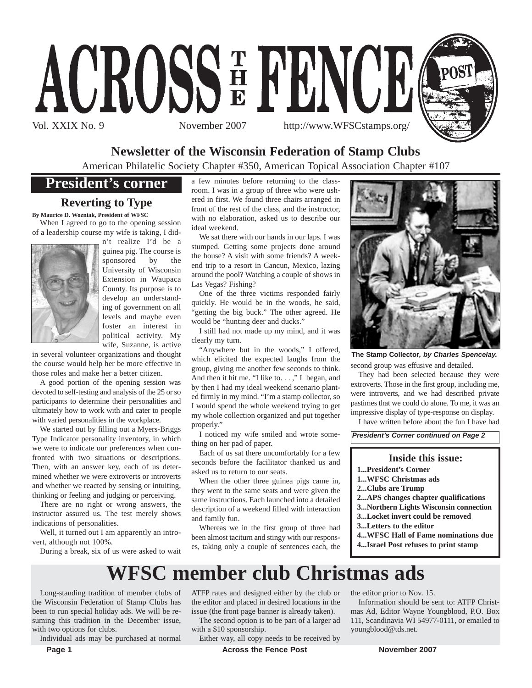



# **Newsletter of the Wisconsin Federation of Stamp Clubs**

American Philatelic Society Chapter #350, American Topical Association Chapter #107

# **President's corner**

## **Reverting to Type**

**By Maurice D. Wozniak, President of WFSC**

When I agreed to go to the opening session of a leadership course my wife is taking, I did-



n't realize I'd be a guinea pig. The course is sponsored by the University of Wisconsin Extension in Waupaca County. Its purpose is to develop an understanding of government on all levels and maybe even foster an interest in political activity. My wife, Suzanne, is active

in several volunteer organizations and thought the course would help her be more effective in those roles and make her a better citizen.

A good portion of the opening session was devoted to self-testing and analysis of the 25 or so participants to determine their personalities and ultimately how to work with and cater to people with varied personalities in the workplace.

We started out by filling out a Myers-Briggs Type Indicator personality inventory, in which we were to indicate our preferences when confronted with two situations or descriptions. Then, with an answer key, each of us determined whether we were extroverts or introverts and whether we reacted by sensing or intuiting, thinking or feeling and judging or perceiving.

There are no right or wrong answers, the instructor assured us. The test merely shows indications of personalities.

Well, it turned out I am apparently an introvert, although not 100%.

During a break, six of us were asked to wait

a few minutes before returning to the classroom. I was in a group of three who were ushered in first. We found three chairs arranged in front of the rest of the class, and the instructor, with no elaboration, asked us to describe our ideal weekend.

We sat there with our hands in our laps. I was stumped. Getting some projects done around the house? A visit with some friends? A weekend trip to a resort in Cancun, Mexico, lazing around the pool? Watching a couple of shows in Las Vegas? Fishing?

One of the three victims responded fairly quickly. He would be in the woods, he said, 'getting the big buck." The other agreed. He would be "hunting deer and ducks."

I still had not made up my mind, and it was clearly my turn.

"Anywhere but in the woods," I offered, which elicited the expected laughs from the group, giving me another few seconds to think. And then it hit me. "I like to. . . ," I began, and by then I had my ideal weekend scenario planted firmly in my mind. "I'm a stamp collector, so I would spend the whole weekend trying to get my whole collection organized and put together properly."

I noticed my wife smiled and wrote something on her pad of paper.

Each of us sat there uncomfortably for a few seconds before the facilitator thanked us and asked us to return to our seats.

When the other three guinea pigs came in, they went to the same seats and were given the same instructions. Each launched into a detailed description of a weekend filled with interaction and family fun.

Whereas we in the first group of three had been almost taciturn and stingy with our responses, taking only a couple of sentences each, the



**The Stamp Collector***, by Charles Spencelay.*

second group was effusive and detailed.

They had been selected because they were extroverts. Those in the first group, including me, were introverts, and we had described private pastimes that we could do alone. To me, it was an impressive display of type-response on display.

I have written before about the fun I have had

*President's Corner continued on Page 2*

### **Inside this issue:**

- **1...President's Corner**
- **1...WFSC Christmas ads**
- **2...Clubs are Trump**
- 
- **2...APS changes chapter qualifications 3...Northern Lights Wisconsin connection**
- **3...Locket invert could be removed**
- 
- **3...Letters to the editor**
- **4...WFSC Hall of Fame nominations due**
- **4...Israel Post refuses to print stamp**

# **WFSC member club Christmas ads**

Long-standing tradition of member clubs of the Wisconsin Federation of Stamp Clubs has been to run special holiday ads. We will be resuming this tradition in the December issue, with two options for clubs.

Individual ads may be purchased at normal

ATFP rates and designed either by the club or the editor and placed in desired locations in the issue (the front page banner is already taken).

The second option is to be part of a larger ad with a \$10 sponsorship.

Either way, all copy needs to be received by

the editor prior to Nov. 15.

Information should be sent to: ATFP Christmas Ad, Editor Wayne Youngblood, P.O. Box 111, Scandinavia WI 54977-0111, or emailed to youngblood@tds.net.

**Page 1 Conserverse Example 2007 Across the Fence Post Movember 2007**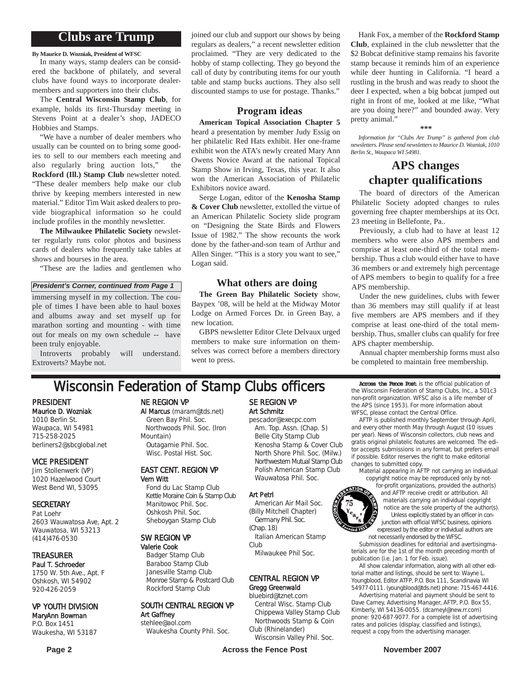## **Clubs are Trump**

**By Maurice D. Wozniak, President of WFSC**

In many ways, stamp dealers can be considered the backbone of philately, and several clubs have found ways to incorporate dealermembers and supporters into their clubs.

The **Central Wisconsin Stamp Club**, for example, holds its first-Thursday meeting in Stevens Point at a dealer's shop, JADECO Hobbies and Stamps.

"We have a number of dealer members who usually can be counted on to bring some goodies to sell to our members each meeting and also regularly bring auction lots," the **Rockford (Ill.) Stamp Club** newsletter noted. "These dealer members help make our club thrive by keeping members interested in new material." Editor Tim Wait asked dealers to provide biographical information so he could include profiles in the monthly newsletter.

**The Milwaukee Philatelic Society** newsletter regularly runs color photos and business cards of dealers who frequently take tables at shows and bourses in the area.

"These are the ladies and gentlemen who

*President's Corner, continued from Page 1*

immersing myself in my collection. The couple of times I have been able to haul boxes and albums away and set myself up for marathon sorting and mounting - with time out for meals on my own schedule -- have been truly enjoyable.

Introverts probably will understand. Extroverts? Maybe not.

joined our club and support our shows by being regulars as dealers," a recent newsletter edition proclaimed. "They are very dedicated to the hobby of stamp collecting. They go beyond the call of duty by contributing items for our youth table and stamp bucks auctions. They also sell discounted stamps to use for postage. Thanks."

### **Program ideas**

**American Topical Association Chapter 5** heard a presentation by member Judy Essig on her philatelic Red Hats exhibit. Her one-frame exhibit won the ATA's newly created Mary Ann Owens Novice Award at the national Topical Stamp Show in Irving, Texas, this year. It also won the American Association of Philatelic Exhibitors novice award.

Serge Logan, editor of the **Kenosha Stamp & Cover Club** newsletter, extolled the virtue of an American Philatelic Society slide program on "Designing the State Birds and Flowers Issue of 1982." The show recounts the work done by the father-and-son team of Arthur and Allen Singer. "This is a story you want to see," Logan said.

### **What others are doing**

**The Green Bay Philatelic Society** show, Baypex '08, will be held at the Midway Motor Lodge on Armed Forces Dr. in Green Bay, a new location.

GBPS newsletter Editor Clete Delvaux urged members to make sure information on themselves was correct before a members directory went to press.

# Wisconsin Federation of Stamp Clubs officers Across the Fence Post is the official publication of Stamp Clubs, Inc., a 5016

PRESIDENT Maurice D. Wozniak 1010 Berlin St. Waupaca, WI 54981 715-258-2025 berliners2@sbcglobal.net

### VICE PRESIDENT

Jim Stollenwerk (VP) 1020 Hazelwood Court West Bend WI, 53095

### **SECRETARY**

Pat Loehr 2603 Wauwatosa Ave, Apt. 2 Wauwatosa, WI 53213 (414)476-0530

### TREASURER

Paul T. Schroeder 1750 W. 5th Ave., Apt. F Oshkosh, WI 54902 920-426-2059

#### VP YOUTH DIVISION MaryAnn Bowman

P.O. Box 1451 Waukesha, WI 53187

### NE REGION VP

Al Marcus (maram@tds.net) Green Bay Phil. Soc. Northwoods Phil. Soc. (Iron Mountain) Outagamie Phil. Soc.

# Wisc. Postal Hist. Soc.

### EAST CENT. REGION VP Vern Witt

Fond du Lac Stamp Club Kettle Moraine Coin & Stamp Club Manitowoc Phil. Soc. Oshkosh Phil. Soc. Sheboygan Stamp Club

### SW REGION VP

Valerie Cook Badger Stamp Club Baraboo Stamp Club Janesville Stamp Club Monroe Stamp & Postcard Club Rockford Stamp Club

## SOUTH CENTRAL REGION VP Art Gaffney

stehlee@aol.com Waukesha County Phil. Soc.

### SE REGION VP Art Schmitz pescador@execpc.com

Am. Top. Assn. (Chap. 5) Belle City Stamp Club Kenosha Stamp & Cover Club North Shore Phil. Soc. (Milw.) Northwestern Mutual Stamp Club Polish American Stamp Club Wauwatosa Phil. Soc.

#### Art Petri

American Air Mail Soc. (Billy Mitchell Chapter) Germany Phil. Soc. (Chap. 18)

Italian American Stamp Club

Milwaukee Phil Soc.

#### CENTRAL REGION VP Gregg Greenwald

### bluebird@tznet.com

Central Wisc. Stamp Club Chippewa Valley Stamp Club Northwoods Stamp & Coin Club (Rhinelander)

Wisconsin Valley Phil. Soc.

**Page 2 Construction Exercise Server Across the Fence Post Construction November 2007** 

Hank Fox, a member of the **Rockford Stamp Club**, explained in the club newsletter that the \$2 Bobcat definitive stamp remains his favorite stamp because it reminds him of an experience while deer hunting in California. "I heard a rustling in the brush and was ready to shoot the deer I expected, when a big bobcat jumped out right in front of me, looked at me like, "What are you doing here?" and bounded away. Very pretty animal."

#### **\*\*\***

*Information for "Clubs Are Trump" is gathered from club newsletters. Please send newsletters to Maurice D. Wozniak, 1010 Berlin St., Waupaca WI 54981.*

## **APS changes chapter qualifications**

The board of directors of the American Philatelic Society adopted changes to rules governing free chapter memberships at its Oct. 23 meeting in Bellefonte, Pa..

Previously, a club had to have at least 12 members who were also APS members and comprise at least one-third of the total membership. Thus a club would either have to have 36 members or and extremely high percentage of APS members to begin to qualify for a free APS membership.

Under the new guidelines, clubs with fewer than 36 members may still qualify if at least five members are APS members and if they comprise at least one-third of the total membership. Thus, smaller clubs can qualify for free APS chapter membership.

Annual chapter membership forms must also be completed to maintain free membership.

the Wisconsin Federation of Stamp Clubs, Inc., a 501c3 non-profit organization. WFSC also is a life member of the APS (since 1953). For more information about WFSC, please contact the Central Office.

AFTP is published monthly September through April, and every other month May through August (10 issues per year). News of Wisconsin collectors, club news and gratis original philatelic features are welcomed. The editor accepts submissions in any format, but prefers email if possible. Editor reserves the right to make editorial changes to submitted copy.

material appearing in AFTP not carrying an individual copyright notice may be reproduced only by not-

for-profit organizations, provided the author(s) and AFTP receive credit or attribution. All materials carrying an individual copyright notice are the sole property of the author(s). Unless explicitly stated by an officer in conjunction with official WFSC business, opinions expressed by the editor or individual authors are not necessarily endorsed by the WFSC.

Submission deadlines for editorial and avertisingmaterials are for the 1st of the month preceding month of publication (i.e. Jan. 1 for Feb. issue).

All show calendar information, along with all other editorial matter and listings, should be sent to: Wayne L. Youngblood, Editor ATFP, P.O. Box 111, Scandinavia WI 54977-0111. (youngblood@tds.net) phone: 715-467-4416.

Advertising material and payment should be sent to Dave Carney, Advertising Manager, AFTP, P.O. Box 55, Kimberly, WI 54136-0055. (dcarneyl@new.rr.com) pnone: 920-687-9077. For a complete list of advertising rates and policies (display, classified and listings), request a copy from the advertising manager.

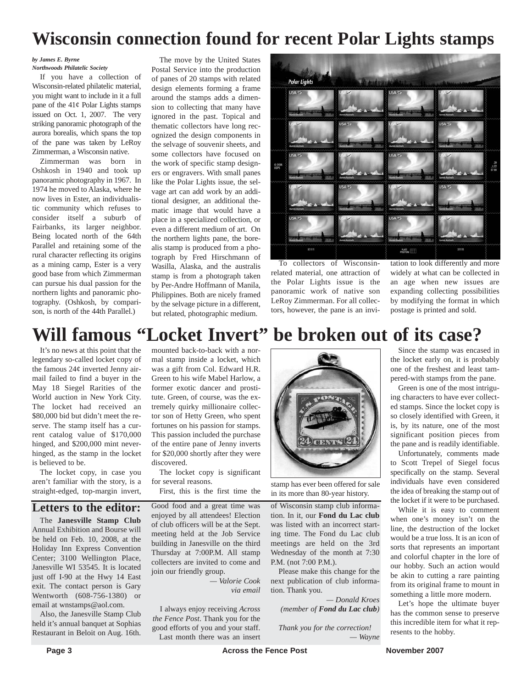# **Wisconsin connection found for recent Polar Lights stamps**

### *by James E. Byrne*

*Northwoods Philatelic Society* If you have a collection of Wisconsin-related philatelic material, you might want to include in it a full pane of the  $41¢$  Polar Lights stamps issued on Oct. 1, 2007. The very striking panoramic photograph of the aurora borealis, which spans the top of the pane was taken by LeRoy Zimmerman, a Wisconsin native.

Zimmerman was born in Oshkosh in 1940 and took up panoramic photography in 1967. In 1974 he moved to Alaska, where he now lives in Ester, an individualistic community which refuses to consider itself a suburb of Fairbanks, its larger neighbor. Being located north of the 64th Parallel and retaining some of the rural character reflecting its origins as a mining camp, Ester is a very good base from which Zimmerman can pursue his dual passion for the northern lights and panoramic photography. (Oshkosh, by comparison, is north of the 44th Parallel.)

The move by the United States Postal Service into the production of panes of 20 stamps with related design elements forming a frame around the stamps adds a dimension to collecting that many have ignored in the past. Topical and thematic collectors have long recognized the design components in the selvage of souvenir sheets, and some collectors have focused on the work of specific stamp designers or engravers. With small panes like the Polar Lights issue, the selvage art can add work by an additional designer, an additional thematic image that would have a place in a specialized collection, or even a different medium of art. On the northern lights pane, the borealis stamp is produced from a photograph by Fred Hirschmann of Wasilla, Alaska, and the australis stamp is from a photograph taken by Per-Andre Hoffmann of Manila, Philippines. Both are nicely framed by the selvage picture in a different, but related, photographic medium.



To collectors of Wisconsinrelated material, one attraction of the Polar Lights issue is the panoramic work of native son LeRoy Zimmerman. For all collectors, however, the pane is an invi-

tation to look differently and more widely at what can be collected in an age when new issues are expanding collecting possibilities by modifying the format in which postage is printed and sold.

# **Will famous "Locket Invert" be broken out of its case?**

It's no news at this point that the legendary so-called locket copy of the famous 24¢ inverted Jenny airmail failed to find a buyer in the May 18 Siegel Rarities of the World auction in New York City. The locket had received an \$80,000 bid but didn't meet the reserve. The stamp itself has a current catalog value of \$170,000 hinged, and \$200,000 mint neverhinged, as the stamp in the locket is believed to be.

The locket copy, in case you aren't familiar with the story, is a straight-edged, top-margin invert,

## **Letters to the editor:**

The **Janesville Stamp Club** Annual Exhibition and Bourse will be held on Feb. 10, 2008, at the Holiday Inn Express Convention Center; 3100 Wellington Place, Janesville WI 53545. It is located just off I-90 at the Hwy 14 East exit. The contact person is Gary Wentworth (608-756-1380) or email at wnstamps@aol.com.

Also, the Janesville Stamp Club held it's annual banquet at Sophias Restaurant in Beloit on Aug. 16th.

mounted back-to-back with a normal stamp inside a locket, which was a gift from Col. Edward H.R. Green to his wife Mabel Harlow, a former exotic dancer and prostitute. Green, of course, was the extremely quirky millionaire collector son of Hetty Green, who spent fortunes on his passion for stamps. This passion included the purchase of the entire pane of Jenny inverts for \$20,000 shortly after they were discovered.

The locket copy is significant for several reasons.

Good food and a great time was enjoyed by all attendees! Election of club officers will be at the Sept. meeting held at the Job Service building in Janesville on the third Thursday at 7:00P.M. All stamp collecters are invited to come and join our friendly group.

> *— Valorie Cook via email*

I always enjoy receiving *Across the Fence Post*. Thank you for the good efforts of you and your staff. Last month there was an insert



First, this is the first time the stamp has ever been offered for sale<br>First, this is the first time the  $\frac{1}{2}$  in its more than 80-year history in its more than 80-year history.

of Wisconsin stamp club information. In it, our **Fond du Lac club** was listed with an incorrect starting time. The Fond du Lac club meetings are held on the 3rd Wednesday of the month at 7:30 P.M. (not 7:00 P.M.).

Please make this change for the next publication of club information. Thank you.

*— Donald Kroes (member of Fond du Lac club)*

*Thank you for the correction! — Wayne*

Since the stamp was encased in the locket early on, it is probably one of the freshest and least tam-

pered-with stamps from the pane. Green is one of the most intriguing characters to have ever collected stamps. Since the locket copy is so closely identified with Green, it is, by its nature, one of the most significant position pieces from the pane and is readily identifiable.

Unfortunately, comments made to Scott Trepel of Siegel focus specifically on the stamp. Several individuals have even considered the idea of breaking the stamp out of the locket if it were to be purchased.

While it is easy to comment when one's money isn't on the line, the destruction of the locket would be a true loss. It is an icon of sorts that represents an important and colorful chapter in the lore of our hobby. Such an action would be akin to cutting a rare painting from its original frame to mount in something a little more modern.

Let's hope the ultimate buyer has the common sense to preserve this incredible item for what it represents to the hobby.